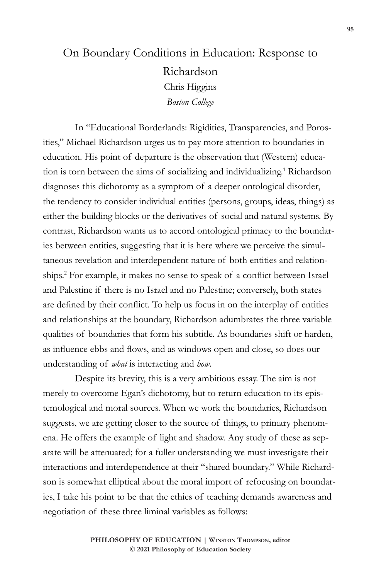## On Boundary Conditions in Education: Response to Richardson Chris Higgins *Boston College*

In "Educational Borderlands: Rigidities, Transparencies, and Porosities," Michael Richardson urges us to pay more attention to boundaries in education. His point of departure is the observation that (Western) education is torn between the aims of socializing and individualizing.1 Richardson diagnoses this dichotomy as a symptom of a deeper ontological disorder, the tendency to consider individual entities (persons, groups, ideas, things) as either the building blocks or the derivatives of social and natural systems. By contrast, Richardson wants us to accord ontological primacy to the boundaries between entities, suggesting that it is here where we perceive the simultaneous revelation and interdependent nature of both entities and relationships.2 For example, it makes no sense to speak of a conflict between Israel and Palestine if there is no Israel and no Palestine; conversely, both states are defined by their conflict. To help us focus in on the interplay of entities and relationships at the boundary, Richardson adumbrates the three variable qualities of boundaries that form his subtitle. As boundaries shift or harden, as influence ebbs and flows, and as windows open and close, so does our understanding of *what* is interacting and *how*.

Despite its brevity, this is a very ambitious essay. The aim is not merely to overcome Egan's dichotomy, but to return education to its epistemological and moral sources. When we work the boundaries, Richardson suggests, we are getting closer to the source of things, to primary phenomena. He offers the example of light and shadow. Any study of these as separate will be attenuated; for a fuller understanding we must investigate their interactions and interdependence at their "shared boundary." While Richardson is somewhat elliptical about the moral import of refocusing on boundaries, I take his point to be that the ethics of teaching demands awareness and negotiation of these three liminal variables as follows: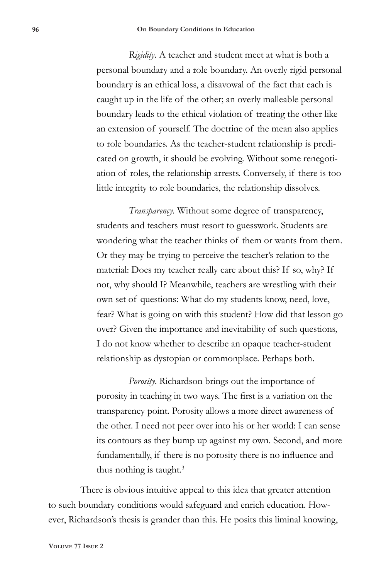*Rigidity*. A teacher and student meet at what is both a personal boundary and a role boundary. An overly rigid personal boundary is an ethical loss, a disavowal of the fact that each is caught up in the life of the other; an overly malleable personal boundary leads to the ethical violation of treating the other like an extension of yourself. The doctrine of the mean also applies to role boundaries. As the teacher-student relationship is predicated on growth, it should be evolving. Without some renegotiation of roles, the relationship arrests. Conversely, if there is too little integrity to role boundaries, the relationship dissolves.

*Transparency*. Without some degree of transparency, students and teachers must resort to guesswork. Students are wondering what the teacher thinks of them or wants from them. Or they may be trying to perceive the teacher's relation to the material: Does my teacher really care about this? If so, why? If not, why should I? Meanwhile, teachers are wrestling with their own set of questions: What do my students know, need, love, fear? What is going on with this student? How did that lesson go over? Given the importance and inevitability of such questions, I do not know whether to describe an opaque teacher-student relationship as dystopian or commonplace. Perhaps both.

*Porosity*. Richardson brings out the importance of porosity in teaching in two ways. The first is a variation on the transparency point. Porosity allows a more direct awareness of the other. I need not peer over into his or her world: I can sense its contours as they bump up against my own. Second, and more fundamentally, if there is no porosity there is no influence and thus nothing is taught. $3$ 

There is obvious intuitive appeal to this idea that greater attention to such boundary conditions would safeguard and enrich education. However, Richardson's thesis is grander than this. He posits this liminal knowing,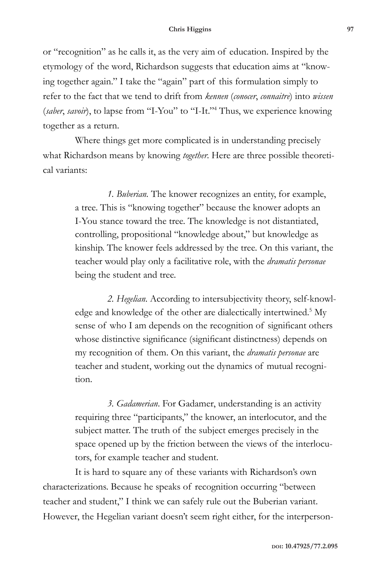or "recognition" as he calls it, as the very aim of education. Inspired by the etymology of the word, Richardson suggests that education aims at "knowing together again." I take the "again" part of this formulation simply to refer to the fact that we tend to drift from *kennen* (*conocer*, *connaitre*) into *wissen* (*saber*, *savoir*), to lapse from "I-You" to "I-It."4 Thus, we experience knowing together as a return.

Where things get more complicated is in understanding precisely what Richardson means by knowing *together*. Here are three possible theoretical variants:

> *1. Buberian.* The knower recognizes an entity, for example, a tree. This is "knowing together" because the knower adopts an I-You stance toward the tree. The knowledge is not distantiated, controlling, propositional "knowledge about," but knowledge as kinship. The knower feels addressed by the tree. On this variant, the teacher would play only a facilitative role, with the *dramatis personae* being the student and tree.

> *2. Hegelian*. According to intersubjectivity theory, self-knowledge and knowledge of the other are dialectically intertwined.<sup>5</sup> My sense of who I am depends on the recognition of significant others whose distinctive significance (significant distinctness) depends on my recognition of them. On this variant, the *dramatis personae* are teacher and student, working out the dynamics of mutual recognition.

*3. Gadamerian*. For Gadamer, understanding is an activity requiring three "participants," the knower, an interlocutor, and the subject matter. The truth of the subject emerges precisely in the space opened up by the friction between the views of the interlocutors, for example teacher and student.

It is hard to square any of these variants with Richardson's own characterizations. Because he speaks of recognition occurring "between teacher and student," I think we can safely rule out the Buberian variant. However, the Hegelian variant doesn't seem right either, for the interperson-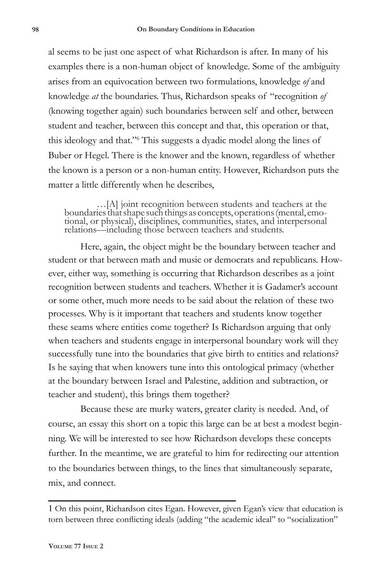al seems to be just one aspect of what Richardson is after. In many of his examples there is a non-human object of knowledge. Some of the ambiguity arises from an equivocation between two formulations, knowledge *of* and knowledge *at* the boundaries. Thus, Richardson speaks of "recognition *of* (knowing together again) such boundaries between self and other, between student and teacher, between this concept and that, this operation or that, this ideology and that."6 This suggests a dyadic model along the lines of Buber or Hegel. There is the knower and the known, regardless of whether the known is a person or a non-human entity. However, Richardson puts the matter a little differently when he describes,

…[A] joint recognition between students and teachers at the boundaries that shape such things as concepts, operations (mental, emo- tional, or physical), disciplines, communities, states, and interpersonal relations—including those between teachers and students.

Here, again, the object might be the boundary between teacher and student or that between math and music or democrats and republicans. However, either way, something is occurring that Richardson describes as a joint recognition between students and teachers. Whether it is Gadamer's account or some other, much more needs to be said about the relation of these two processes. Why is it important that teachers and students know together these seams where entities come together? Is Richardson arguing that only when teachers and students engage in interpersonal boundary work will they successfully tune into the boundaries that give birth to entities and relations? Is he saying that when knowers tune into this ontological primacy (whether at the boundary between Israel and Palestine, addition and subtraction, or teacher and student), this brings them together?

Because these are murky waters, greater clarity is needed. And, of course, an essay this short on a topic this large can be at best a modest beginning. We will be interested to see how Richardson develops these concepts further. In the meantime, we are grateful to him for redirecting our attention to the boundaries between things, to the lines that simultaneously separate, mix, and connect.

<sup>1</sup> On this point, Richardson cites Egan. However, given Egan's view that education is torn between three conflicting ideals (adding "the academic ideal" to "socialization"